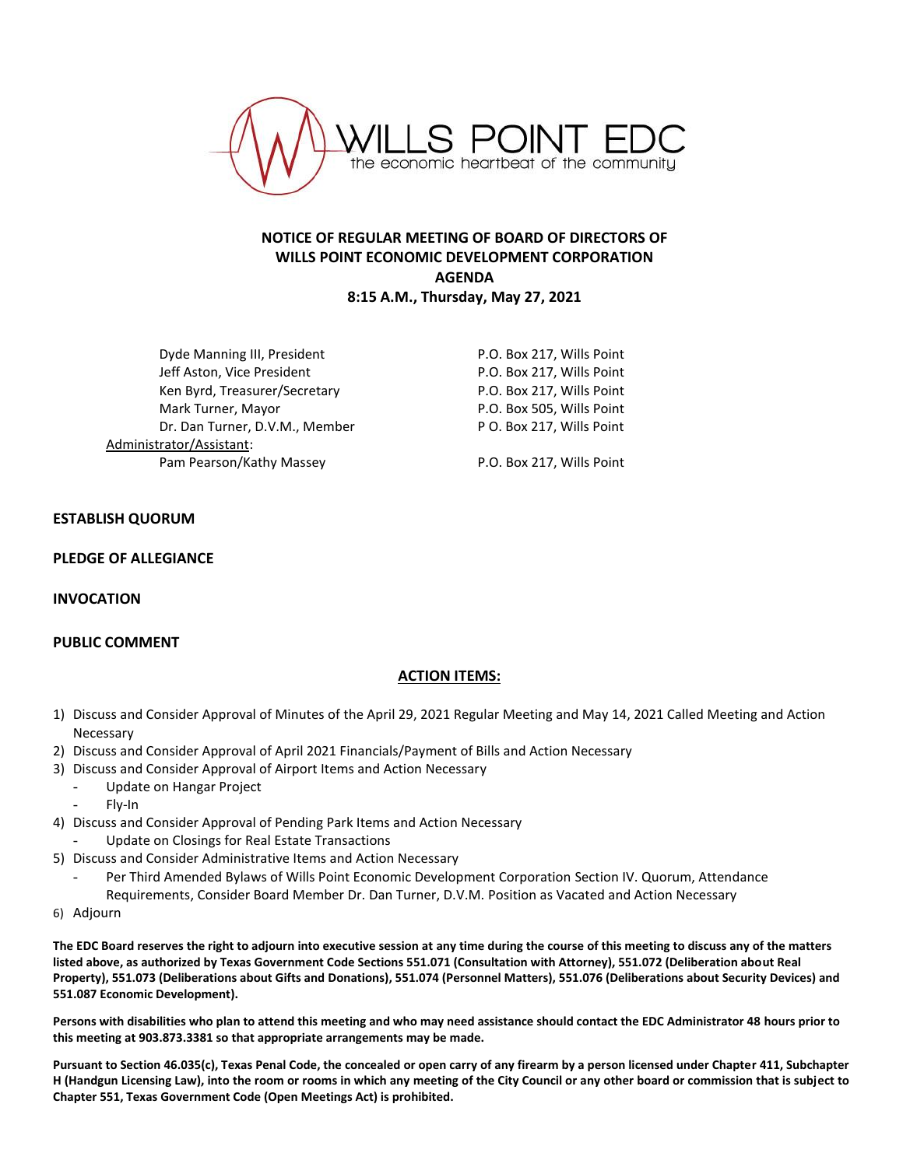

# **NOTICE OF REGULAR MEETING OF BOARD OF DIRECTORS OF WILLS POINT ECONOMIC DEVELOPMENT CORPORATION AGENDA 8:15 A.M., Thursday, May 27, 2021**

Dyde Manning III, President **P.O. Box 217, Wills Point** Jeff Aston, Vice President **P.O. Box 217, Wills Point** Ken Byrd, Treasurer/Secretary The Manuscript R.O. Box 217, Wills Point Mark Turner, Mayor National Communication of P.O. Box 505, Wills Point Dr. Dan Turner, D.V.M., Member P O. Box 217, Wills Point Administrator/Assistant: Pam Pearson/Kathy Massey **P.O. Box 217, Wills Point** 

## **ESTABLISH QUORUM**

#### **PLEDGE OF ALLEGIANCE**

### **INVOCATION**

### **PUBLIC COMMENT**

### **ACTION ITEMS:**

- 1) Discuss and Consider Approval of Minutes of the April 29, 2021 Regular Meeting and May 14, 2021 Called Meeting and Action Necessary
- 2) Discuss and Consider Approval of April 2021 Financials/Payment of Bills and Action Necessary
- 3) Discuss and Consider Approval of Airport Items and Action Necessary
	- Update on Hangar Project
	- Fly-In
- 4) Discuss and Consider Approval of Pending Park Items and Action Necessary
- Update on Closings for Real Estate Transactions
- 5) Discuss and Consider Administrative Items and Action Necessary
	- Per Third Amended Bylaws of Wills Point Economic Development Corporation Section IV. Quorum, Attendance Requirements, Consider Board Member Dr. Dan Turner, D.V.M. Position as Vacated and Action Necessary
- 6) Adjourn

**The EDC Board reserves the right to adjourn into executive session at any time during the course of this meeting to discuss any of the matters listed above, as authorized by Texas Government Code Sections 551.071 (Consultation with Attorney), 551.072 (Deliberation about Real Property), 551.073 (Deliberations about Gifts and Donations), 551.074 (Personnel Matters), 551.076 (Deliberations about Security Devices) and 551.087 Economic Development).**

**Persons with disabilities who plan to attend this meeting and who may need assistance should contact the EDC Administrator 48 hours prior to this meeting at 903.873.3381 so that appropriate arrangements may be made.**

**Pursuant to Section 46.035(c), Texas Penal Code, the concealed or open carry of any firearm by a person licensed under Chapter 411, Subchapter H (Handgun Licensing Law), into the room or rooms in which any meeting of the City Council or any other board or commission that is subject to Chapter 551, Texas Government Code (Open Meetings Act) is prohibited.**